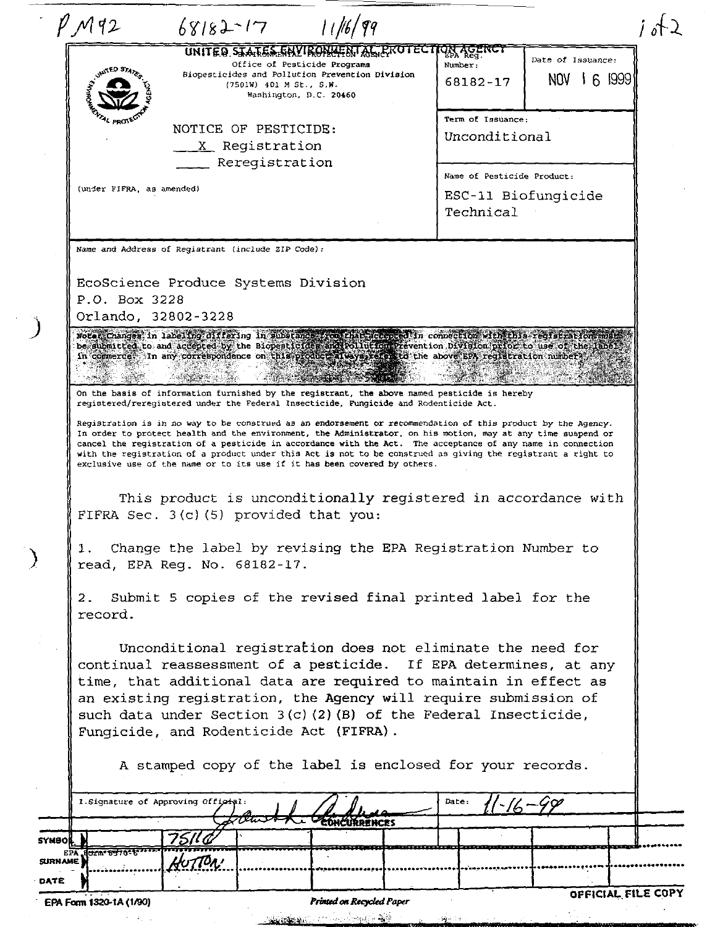|              | <b>UNITED STA</b><br>AL PROJE                                                                                                                                                                                                                                                                                                                                                                                                                                                                                                                                                                                                                                                                                                               |                 | Office of Pesticide Programs<br>(7501W) 401 M St., S.M. | UNITED STATES ENVIRONMENTAL PROTEC<br>Biopesticides and Pollution Prevention Division | Number:                                                        | IN AGENCI                          | Date of Issuance: |  |
|--------------|---------------------------------------------------------------------------------------------------------------------------------------------------------------------------------------------------------------------------------------------------------------------------------------------------------------------------------------------------------------------------------------------------------------------------------------------------------------------------------------------------------------------------------------------------------------------------------------------------------------------------------------------------------------------------------------------------------------------------------------------|-----------------|---------------------------------------------------------|---------------------------------------------------------------------------------------|----------------------------------------------------------------|------------------------------------|-------------------|--|
|              |                                                                                                                                                                                                                                                                                                                                                                                                                                                                                                                                                                                                                                                                                                                                             |                 | Washington, D.C. 20460                                  |                                                                                       |                                                                | 68182-17                           | NOV 1 6 1999      |  |
|              | NOTICE OF PESTICIDE:<br>X Registration                                                                                                                                                                                                                                                                                                                                                                                                                                                                                                                                                                                                                                                                                                      |                 |                                                         |                                                                                       |                                                                | Term of Issuance:<br>Unconditional |                   |  |
|              | (under FIFRA, as amended)                                                                                                                                                                                                                                                                                                                                                                                                                                                                                                                                                                                                                                                                                                                   |                 | Reregistration                                          |                                                                                       | Name of Pesticide Product:<br>ESC-11 Biofungicide<br>Technical |                                    |                   |  |
|              | Name and Address of Registrant (include ZIP Code):<br>EcoScience Produce Systems Division<br>P.O. Box 3228<br>Orlando, 32802-3228                                                                                                                                                                                                                                                                                                                                                                                                                                                                                                                                                                                                           |                 |                                                         |                                                                                       |                                                                |                                    |                   |  |
|              | Note: Changes in labeling differing in substance soon this accepted in connection with this registrarion mut<br>be submitted to and accepted by the Biopesticides and Follution Prevention Division prior to use of the landi<br>in commerce. In any correspondence on this product fluoys, stere to the above EPA registration number.                                                                                                                                                                                                                                                                                                                                                                                                     |                 |                                                         |                                                                                       |                                                                |                                    |                   |  |
|              | registered/reregistered under the Federal Insecticide, Fungicide and Rodenticide Act.<br>Registration is in no way to be construed as an endorsement or recommendation of this product by the Agency.<br>In order to protect health and the environment, the Administrator, on his motion, may at any time suspend or<br>cancel the registration of a pesticide in accordance with the Act. The acceptance of any name in connection<br>with the registration of a product under this Act is not to be construed as giving the registrant a right to<br>exclusive use of the name or to its use if it has been covered by others.<br>This product is unconditionally registered in accordance with<br>FIFRA Sec. 3(c)(5) provided that you: |                 |                                                         |                                                                                       |                                                                |                                    |                   |  |
|              | Change the label by revising the EPA Registration Number to<br>1.<br>read, EPA Reg. No. 68182-17.<br>Submit 5 copies of the revised final printed label for the<br>2.<br>record.                                                                                                                                                                                                                                                                                                                                                                                                                                                                                                                                                            |                 |                                                         |                                                                                       |                                                                |                                    |                   |  |
|              | Unconditional registration does not eliminate the need for<br>continual reassessment of a pesticide. If EPA determines, at any<br>time, that additional data are required to maintain in effect as<br>an existing registration, the Agency will require submission of<br>such data under Section $3(c)$ (2) (B) of the Federal Insecticide,<br>Fungicide, and Rodenticide Act (FIFRA).<br>A stamped copy of the label is enclosed for your records.                                                                                                                                                                                                                                                                                         |                 |                                                         |                                                                                       |                                                                |                                    |                   |  |
|              | 1. Signature of Approving Official:                                                                                                                                                                                                                                                                                                                                                                                                                                                                                                                                                                                                                                                                                                         |                 |                                                         | CONCURRENCES                                                                          | Date:                                                          |                                    |                   |  |
| <b>SYMBO</b> | EPA ROLL BUTO EL TITLE                                                                                                                                                                                                                                                                                                                                                                                                                                                                                                                                                                                                                                                                                                                      | 75 I C<br>TON ! |                                                         |                                                                                       |                                                                |                                    |                   |  |

EPA Form 1320-1A (1/90)

 $\beta = \alpha_1 \beta_2$ 

 $\mathbb{R}^2$ 

 $\sim$ 

)

)

Printed on Recycled Paper

s.

<u> Sasker (Barbarata) (Barbarata) (Barbarata) (Barbarata) (Barbarata) (Barbarata) (Barbarata) (Barbarata) (Barba</u>